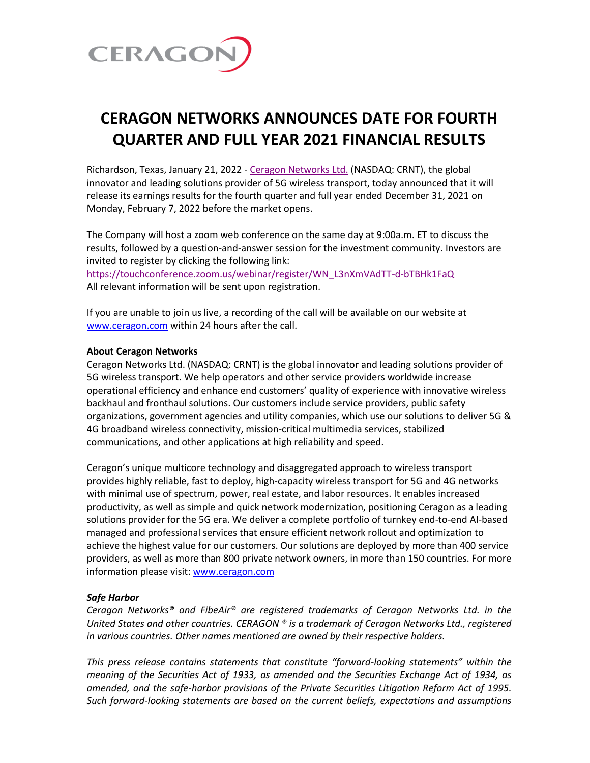

## **CERAGON NETWORKS ANNOUNCES DATE FOR FOURTH QUARTER AND FULL YEAR 2021 FINANCIAL RESULTS**

Richardson, Texas, January 21, 2022 - [Ceragon Networks Ltd.](http://www.ceragon.com/) (NASDAQ: CRNT), the global innovator and leading solutions provider of 5G wireless transport, today announced that it will release its earnings results for the fourth quarter and full year ended December 31, 2021 on Monday, February 7, 2022 before the market opens.

The Company will host a zoom web conference on the same day at 9:00a.m. ET to discuss the results, followed by a question-and-answer session for the investment community. Investors are invited to register by clicking the following link:

[https://touchconference.zoom.us/webinar/register/WN\\_L3nXmVAdTT-d-bTBHk1FaQ](https://touchconference.zoom.us/webinar/register/WN_L3nXmVAdTT-d-bTBHk1FaQ) All relevant information will be sent upon registration.

If you are unable to join us live, a recording of the call will be available on our website at [www.ceragon.com](http://www.ceragon.com/) within 24 hours after the call.

## **About Ceragon Networks**

Ceragon Networks Ltd. (NASDAQ: CRNT) is the global innovator and leading solutions provider of 5G wireless transport. We help operators and other service providers worldwide increase operational efficiency and enhance end customers' quality of experience with innovative wireless backhaul and fronthaul solutions. Our customers include service providers, public safety organizations, government agencies and utility companies, which use our solutions to deliver 5G & 4G broadband wireless connectivity, mission-critical multimedia services, stabilized communications, and other applications at high reliability and speed.

Ceragon's unique multicore technology and disaggregated approach to wireless transport provides highly reliable, fast to deploy, high-capacity wireless transport for 5G and 4G networks with minimal use of spectrum, power, real estate, and labor resources. It enables increased productivity, as well as simple and quick network modernization, positioning Ceragon as a leading solutions provider for the 5G era. We deliver a complete portfolio of turnkey end-to-end AI-based managed and professional services that ensure efficient network rollout and optimization to achieve the highest value for our customers. Our solutions are deployed by more than 400 service providers, as well as more than 800 private network owners, in more than 150 countries. For more information please visit: [www.ceragon.com](http://www.ceragon.com/)

## *Safe Harbor*

*Ceragon Networks® and FibeAir® are registered trademarks of Ceragon Networks Ltd. in the United States and other countries. CERAGON ® is a trademark of Ceragon Networks Ltd., registered in various countries. Other names mentioned are owned by their respective holders.*

*This press release contains statements that constitute "forward-looking statements" within the meaning of the Securities Act of 1933, as amended and the Securities Exchange Act of 1934, as amended, and the safe-harbor provisions of the Private Securities Litigation Reform Act of 1995. Such forward-looking statements are based on the current beliefs, expectations and assumptions*